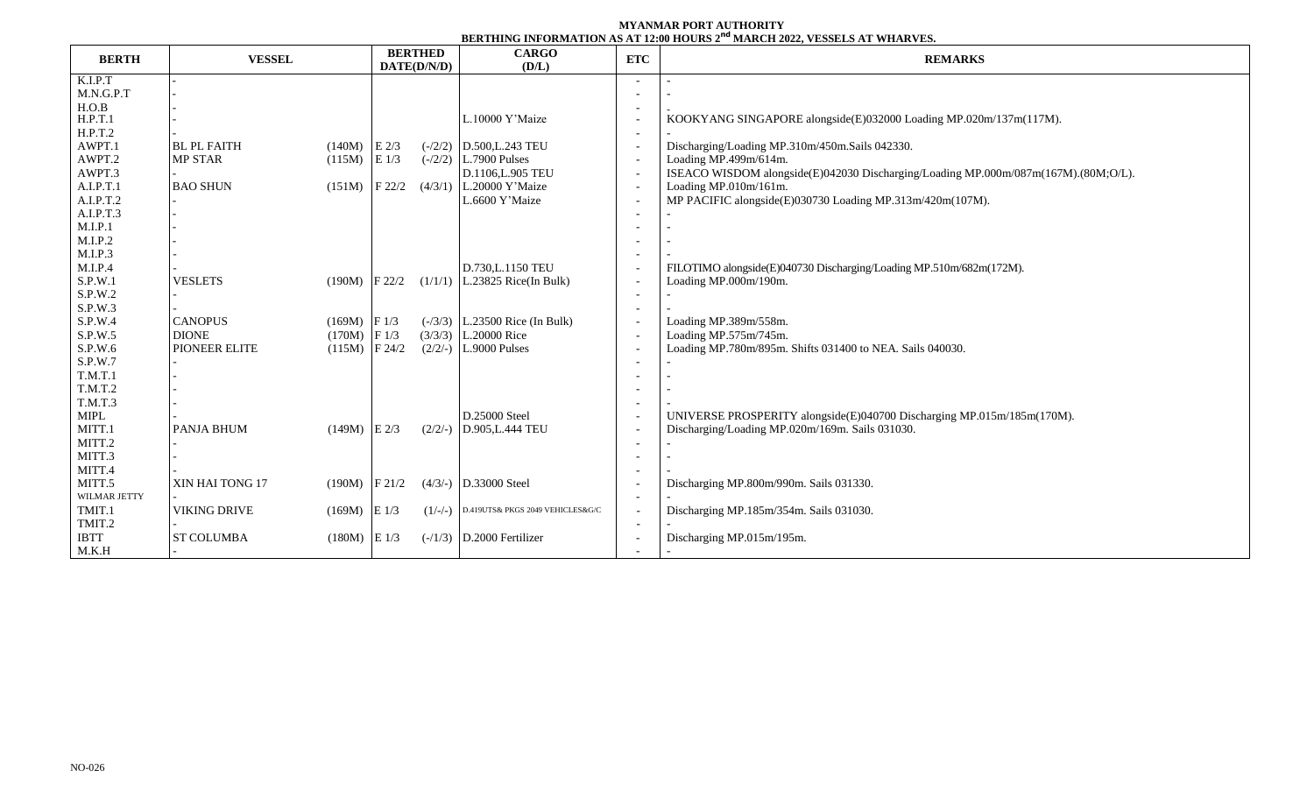## **MYANMAR PORT AUTHORITY BERTHING INFORMATION AS AT 12:00 HOURS 2 nd MARCH 2022, VESSELS AT WHARVES.**

|              | <b>VESSEL</b>       |                 | <b>BERTHED</b> |           | <b>CARGO</b>                     |                          | <u>DERIMIN IN ONSEITON IN IT TENU ILOCINI E SERVIT EVEZ TENDELI MIRIN I EU</u>     |  |  |  |  |
|--------------|---------------------|-----------------|----------------|-----------|----------------------------------|--------------------------|------------------------------------------------------------------------------------|--|--|--|--|
| <b>BERTH</b> |                     |                 | DATE(D/N/D)    |           | (D/L)                            | <b>ETC</b>               | <b>REMARKS</b>                                                                     |  |  |  |  |
| K.I.P.T      |                     |                 |                |           |                                  |                          |                                                                                    |  |  |  |  |
| M.N.G.P.T    |                     |                 |                |           |                                  |                          |                                                                                    |  |  |  |  |
| H.O.B        |                     |                 |                |           |                                  |                          |                                                                                    |  |  |  |  |
| H.P.T.1      |                     |                 |                |           | L.10000 Y'Maize                  |                          | KOOKYANG SINGAPORE alongside(E)032000 Loading MP.020m/137m(117M).                  |  |  |  |  |
| H.P.T.2      |                     |                 |                |           |                                  |                          |                                                                                    |  |  |  |  |
| AWPT.1       | <b>BL PL FAITH</b>  | $(140M)$ E 2/3  |                |           | $(-/2/2)$ D.500, L.243 TEU       |                          | Discharging/Loading MP.310m/450m.Sails 042330.                                     |  |  |  |  |
| AWPT.2       | MP STAR             | $(115M)$ E 1/3  |                |           | $(-/2/2)$ L.7900 Pulses          |                          | Loading MP.499m/614m.                                                              |  |  |  |  |
| AWPT.3       |                     |                 |                |           | D.1106, L.905 TEU                |                          | ISEACO WISDOM alongside(E)042030 Discharging/Loading MP.000m/087m(167M).(80M;O/L). |  |  |  |  |
| A.I.P.T.1    | <b>BAO SHUN</b>     | $(151M)$ F 22/2 |                |           | $(4/3/1)$ L.20000 Y'Maize        | $\overline{a}$           | Loading MP.010m/161m.                                                              |  |  |  |  |
| A.I.P.T.2    |                     |                 |                |           | L.6600 Y'Maize                   |                          | MP PACIFIC alongside(E)030730 Loading MP.313m/420m(107M).                          |  |  |  |  |
| A.I.P.T.3    |                     |                 |                |           |                                  |                          |                                                                                    |  |  |  |  |
| M.I.P.1      |                     |                 |                |           |                                  |                          |                                                                                    |  |  |  |  |
| M.I.P.2      |                     |                 |                |           |                                  |                          |                                                                                    |  |  |  |  |
| M.I.P.3      |                     |                 |                |           |                                  |                          |                                                                                    |  |  |  |  |
| M.I.P.4      |                     |                 |                |           | D.730, L.1150 TEU                |                          | FILOTIMO alongside(E)040730 Discharging/Loading MP.510m/682m(172M).                |  |  |  |  |
| S.P.W.1      | <b>VESLETS</b>      | $(190M)$ F 22/2 |                |           | $(1/1/1)$ L.23825 Rice(In Bulk)  |                          | Loading MP.000m/190m.                                                              |  |  |  |  |
| S.P.W.2      |                     |                 |                |           |                                  |                          |                                                                                    |  |  |  |  |
| S.P.W.3      |                     |                 |                |           |                                  |                          |                                                                                    |  |  |  |  |
| S.P.W.4      | <b>CANOPUS</b>      | $(169M)$ F 1/3  |                |           | $(-/3/3)$ L.23500 Rice (In Bulk) |                          | Loading MP.389m/558m.                                                              |  |  |  |  |
| S.P.W.5      | <b>DIONE</b>        | $(170M)$ F 1/3  |                |           | $(3/3/3)$ L.20000 Rice           | $\overline{\phantom{a}}$ | Loading MP.575m/745m.                                                              |  |  |  |  |
| S.P.W.6      | PIONEER ELITE       | $(115M)$ F 24/2 |                |           | $(2/2/-)$ L.9000 Pulses          |                          | Loading MP.780m/895m. Shifts 031400 to NEA. Sails 040030.                          |  |  |  |  |
| S.P.W.7      |                     |                 |                |           |                                  |                          |                                                                                    |  |  |  |  |
| T.M.T.1      |                     |                 |                |           |                                  |                          |                                                                                    |  |  |  |  |
| T.M.T.2      |                     |                 |                |           |                                  |                          |                                                                                    |  |  |  |  |
| T.M.T.3      |                     |                 |                |           |                                  |                          |                                                                                    |  |  |  |  |
| MIPL         |                     |                 |                |           | D.25000 Steel                    |                          | UNIVERSE PROSPERITY alongside(E)040700 Discharging MP.015m/185m(170M).             |  |  |  |  |
| MITT.1       | PANJA BHUM          | $(149M)$ E 2/3  |                | $(2/2/-)$ | D.905, L.444 TEU                 |                          | Discharging/Loading MP.020m/169m. Sails 031030.                                    |  |  |  |  |
| MITT.2       |                     |                 |                |           |                                  |                          |                                                                                    |  |  |  |  |
| MITT.3       |                     |                 |                |           |                                  |                          |                                                                                    |  |  |  |  |
| MITT.4       |                     |                 |                |           |                                  |                          |                                                                                    |  |  |  |  |
| MITT.5       | XIN HAI TONG 17     | $(190M)$ F 21/2 |                |           | $(4/3/-)$ D.33000 Steel          |                          | Discharging MP.800m/990m. Sails 031330.                                            |  |  |  |  |
| WILMAR JETTY |                     |                 |                |           |                                  |                          |                                                                                    |  |  |  |  |
| TMIT.1       | <b>VIKING DRIVE</b> | $(169M)$ E 1/3  |                | $(1/-/-)$ | D.419UTS& PKGS 2049 VEHICLES&G/C |                          | Discharging MP.185m/354m. Sails 031030.                                            |  |  |  |  |
| TMIT.2       |                     |                 |                |           |                                  |                          |                                                                                    |  |  |  |  |
| <b>IBTT</b>  | <b>ST COLUMBA</b>   | $(180M)$ E 1/3  |                |           | $(-/1/3)$ D.2000 Fertilizer      |                          | Discharging MP.015m/195m.                                                          |  |  |  |  |
| M.K.H        |                     |                 |                |           |                                  |                          |                                                                                    |  |  |  |  |